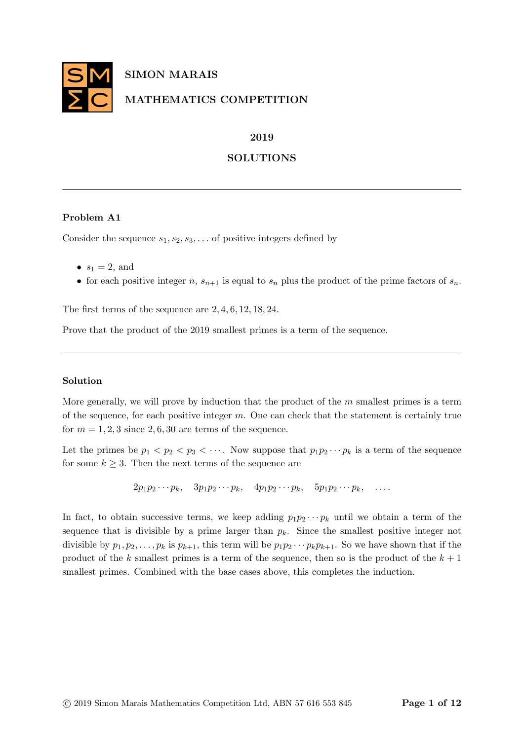

## 2019

# SOLUTIONS

# Problem A1

Consider the sequence  $s_1, s_2, s_3, \ldots$  of positive integers defined by

- $s_1 = 2$ , and
- for each positive integer n,  $s_{n+1}$  is equal to  $s_n$  plus the product of the prime factors of  $s_n$ .

The first terms of the sequence are 2, 4, 6, 12, 18, 24.

Prove that the product of the 2019 smallest primes is a term of the sequence.

## Solution

More generally, we will prove by induction that the product of the  $m$  smallest primes is a term of the sequence, for each positive integer  $m$ . One can check that the statement is certainly true for  $m = 1, 2, 3$  since 2, 6, 30 are terms of the sequence.

Let the primes be  $p_1 < p_2 < p_3 < \cdots$ . Now suppose that  $p_1p_2\cdots p_k$  is a term of the sequence for some  $k \geq 3$ . Then the next terms of the sequence are

 $2p_1p_2\cdots p_k$ ,  $3p_1p_2\cdots p_k$ ,  $4p_1p_2\cdots p_k$ ,  $5p_1p_2\cdots p_k$ , ...

In fact, to obtain successive terms, we keep adding  $p_1p_2\cdots p_k$  until we obtain a term of the sequence that is divisible by a prime larger than  $p_k$ . Since the smallest positive integer not divisible by  $p_1, p_2, \ldots, p_k$  is  $p_{k+1}$ , this term will be  $p_1p_2\cdots p_kp_{k+1}$ . So we have shown that if the product of the k smallest primes is a term of the sequence, then so is the product of the  $k + 1$ smallest primes. Combined with the base cases above, this completes the induction.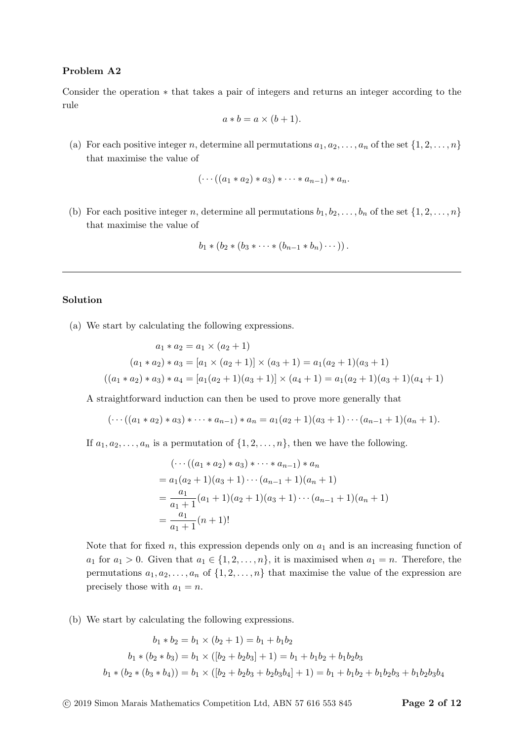## Problem A2

Consider the operation ∗ that takes a pair of integers and returns an integer according to the rule

$$
a * b = a \times (b + 1).
$$

(a) For each positive integer n, determine all permutations  $a_1, a_2, \ldots, a_n$  of the set  $\{1, 2, \ldots, n\}$ that maximise the value of

$$
(\cdots((a_1*a_2)*a_3)*\cdots*a_{n-1})*a_n.
$$

(b) For each positive integer n, determine all permutations  $b_1, b_2, \ldots, b_n$  of the set  $\{1, 2, \ldots, n\}$ that maximise the value of

$$
b_1 * (b_2 * (b_3 * \cdots * (b_{n-1} * b_n) \cdots)).
$$

### Solution

(a) We start by calculating the following expressions.

$$
a_1 * a_2 = a_1 \times (a_2 + 1)
$$
  
\n
$$
(a_1 * a_2) * a_3 = [a_1 \times (a_2 + 1)] \times (a_3 + 1) = a_1(a_2 + 1)(a_3 + 1)
$$
  
\n
$$
((a_1 * a_2) * a_3) * a_4 = [a_1(a_2 + 1)(a_3 + 1)] \times (a_4 + 1) = a_1(a_2 + 1)(a_3 + 1)(a_4 + 1)
$$

A straightforward induction can then be used to prove more generally that

$$
(\cdots((a_1*a_2)*a_3)*\cdots*a_{n-1})*a_n = a_1(a_2+1)(a_3+1)\cdots(a_{n-1}+1)(a_n+1).
$$

If  $a_1, a_2, \ldots, a_n$  is a permutation of  $\{1, 2, \ldots, n\}$ , then we have the following.

$$
(\cdots((a_1 * a_2) * a_3) * \cdots * a_{n-1}) * a_n
$$
  
=  $a_1(a_2 + 1)(a_3 + 1) \cdots (a_{n-1} + 1)(a_n + 1)$   
=  $\frac{a_1}{a_1 + 1}(a_1 + 1)(a_2 + 1)(a_3 + 1) \cdots (a_{n-1} + 1)(a_n + 1)$   
=  $\frac{a_1}{a_1 + 1}(n + 1)!$ 

Note that for fixed n, this expression depends only on  $a_1$  and is an increasing function of  $a_1$  for  $a_1 > 0$ . Given that  $a_1 \in \{1, 2, ..., n\}$ , it is maximised when  $a_1 = n$ . Therefore, the permutations  $a_1, a_2, \ldots, a_n$  of  $\{1, 2, \ldots, n\}$  that maximise the value of the expression are precisely those with  $a_1 = n$ .

(b) We start by calculating the following expressions.

$$
b_1 * b_2 = b_1 \times (b_2 + 1) = b_1 + b_1 b_2
$$
  

$$
b_1 * (b_2 * b_3) = b_1 \times ([b_2 + b_2 b_3] + 1) = b_1 + b_1 b_2 + b_1 b_2 b_3
$$
  

$$
b_1 * (b_2 * (b_3 * b_4)) = b_1 \times ([b_2 + b_2 b_3 + b_2 b_3 b_4] + 1) = b_1 + b_1 b_2 + b_1 b_2 b_3 + b_1 b_2 b_3 b_4
$$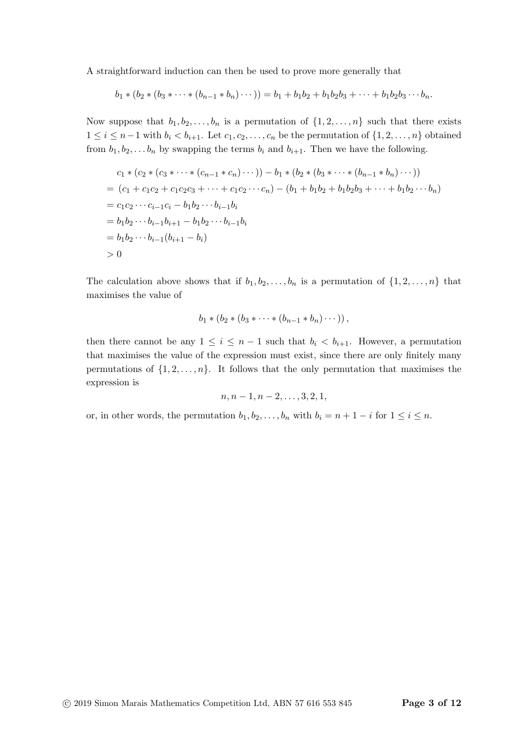A straightforward induction can then be used to prove more generally that

$$
b_1 * (b_2 * (b_3 * \cdots * (b_{n-1} * b_n) \cdots)) = b_1 + b_1b_2 + b_1b_2b_3 + \cdots + b_1b_2b_3 \cdots b_n.
$$

Now suppose that  $b_1, b_2, \ldots, b_n$  is a permutation of  $\{1, 2, \ldots, n\}$  such that there exists  $1 \leq i \leq n-1$  with  $b_i < b_{i+1}$ . Let  $c_1, c_2, \ldots, c_n$  be the permutation of  $\{1, 2, \ldots, n\}$  obtained from  $b_1, b_2, \ldots, b_n$  by swapping the terms  $b_i$  and  $b_{i+1}$ . Then we have the following.

$$
c_1 * (c_2 * (c_3 * \cdots * (c_{n-1} * c_n) \cdots)) - b_1 * (b_2 * (b_3 * \cdots * (b_{n-1} * b_n) \cdots))
$$
  
=  $(c_1 + c_1c_2 + c_1c_2c_3 + \cdots + c_1c_2 \cdots c_n) - (b_1 + b_1b_2 + b_1b_2b_3 + \cdots + b_1b_2 \cdots b_n)$   
=  $c_1c_2 \cdots c_{i-1}c_i - b_1b_2 \cdots b_{i-1}b_i$   
=  $b_1b_2 \cdots b_{i-1}b_{i+1} - b_1b_2 \cdots b_{i-1}b_i$   
=  $b_1b_2 \cdots b_{i-1}(b_{i+1} - b_i)$   
> 0

The calculation above shows that if  $b_1, b_2, \ldots, b_n$  is a permutation of  $\{1, 2, \ldots, n\}$  that maximises the value of

$$
b_1 * (b_2 * (b_3 * \cdots * (b_{n-1} * b_n) \cdots)),
$$

then there cannot be any  $1 \leq i \leq n-1$  such that  $b_i < b_{i+1}$ . However, a permutation that maximises the value of the expression must exist, since there are only finitely many permutations of  $\{1, 2, \ldots, n\}$ . It follows that the only permutation that maximises the expression is

$$
n, n-1, n-2, \ldots, 3, 2, 1,
$$

or, in other words, the permutation  $b_1, b_2, \ldots, b_n$  with  $b_i = n + 1 - i$  for  $1 \le i \le n$ .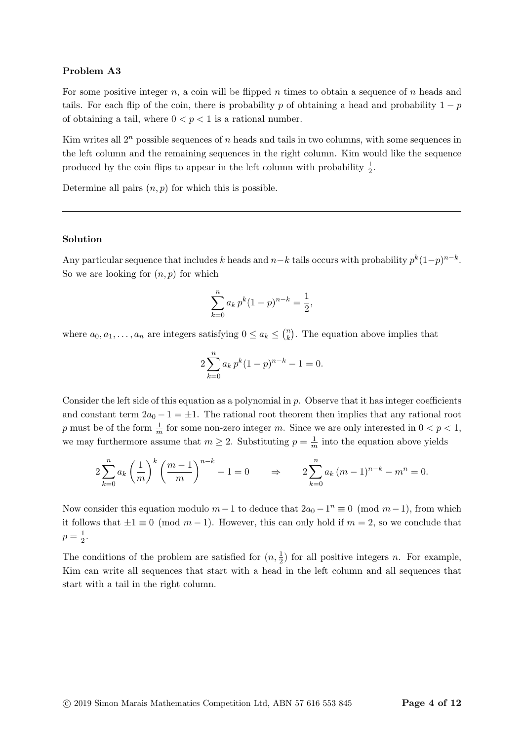### Problem A3

For some positive integer  $n$ , a coin will be flipped  $n$  times to obtain a sequence of  $n$  heads and tails. For each flip of the coin, there is probability p of obtaining a head and probability  $1 - p$ of obtaining a tail, where  $0 < p < 1$  is a rational number.

Kim writes all  $2^n$  possible sequences of n heads and tails in two columns, with some sequences in the left column and the remaining sequences in the right column. Kim would like the sequence produced by the coin flips to appear in the left column with probability  $\frac{1}{2}$ .

Determine all pairs  $(n, p)$  for which this is possible.

#### Solution

Any particular sequence that includes k heads and  $n-k$  tails occurs with probability  $p^{k}(1-p)^{n-k}$ . So we are looking for  $(n, p)$  for which

$$
\sum_{k=0}^{n} a_k p^k (1-p)^{n-k} = \frac{1}{2},
$$

where  $a_0, a_1, \ldots, a_n$  are integers satisfying  $0 \le a_k \le {n \choose k}$  $\binom{n}{k}$ . The equation above implies that

$$
2\sum_{k=0}^{n} a_k p^k (1-p)^{n-k} - 1 = 0.
$$

Consider the left side of this equation as a polynomial in  $p$ . Observe that it has integer coefficients and constant term  $2a_0 - 1 = \pm 1$ . The rational root theorem then implies that any rational root p must be of the form  $\frac{1}{m}$  for some non-zero integer m. Since we are only interested in  $0 < p < 1$ , we may furthermore assume that  $m \geq 2$ . Substituting  $p = \frac{1}{m}$  $\frac{1}{m}$  into the equation above yields

$$
2\sum_{k=0}^{n} a_k \left(\frac{1}{m}\right)^k \left(\frac{m-1}{m}\right)^{n-k} - 1 = 0 \qquad \Rightarrow \qquad 2\sum_{k=0}^{n} a_k (m-1)^{n-k} - m^n = 0.
$$

Now consider this equation modulo  $m-1$  to deduce that  $2a_0 - 1$ <sup>n</sup>  $\equiv 0 \pmod{m-1}$ , from which it follows that  $\pm 1 \equiv 0 \pmod{m-1}$ . However, this can only hold if  $m = 2$ , so we conclude that  $p = \frac{1}{2}$  $rac{1}{2}$ .

The conditions of the problem are satisfied for  $(n, \frac{1}{2})$  for all positive integers n. For example, Kim can write all sequences that start with a head in the left column and all sequences that start with a tail in the right column.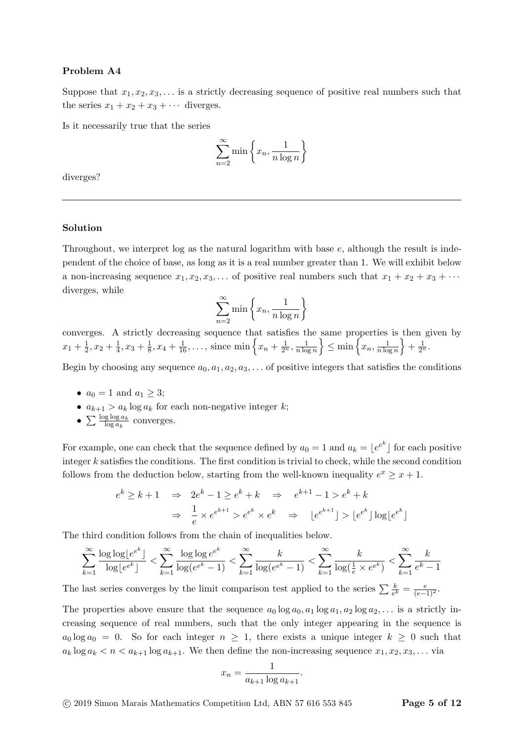### Problem A4

Suppose that  $x_1, x_2, x_3, \ldots$  is a strictly decreasing sequence of positive real numbers such that the series  $x_1 + x_2 + x_3 + \cdots$  diverges.

Is it necessarily true that the series

$$
\sum_{n=2}^{\infty} \min \left\{ x_n, \frac{1}{n \log n} \right\}
$$

diverges?

#### Solution

Throughout, we interpret log as the natural logarithm with base e, although the result is independent of the choice of base, as long as it is a real number greater than 1. We will exhibit below a non-increasing sequence  $x_1, x_2, x_3, \ldots$  of positive real numbers such that  $x_1 + x_2 + x_3 + \cdots$ diverges, while

$$
\sum_{n=2}^{\infty} \min \left\{ x_n, \frac{1}{n \log n} \right\}
$$

converges. A strictly decreasing sequence that satisfies the same properties is then given by  $x_1 + \frac{1}{2}$  $\frac{1}{2}, x_2 + \frac{1}{4}$  $\frac{1}{4}$ ,  $x_3 + \frac{1}{8}$  $\frac{1}{8}$ ,  $x_4 + \frac{1}{16}$ ,..., since min  $\left\{x_n + \frac{1}{2^n}, \frac{1}{n \log n}\right\}$  $\left\{\frac{1}{n\log n}\right\} \leq \min\left\{x_n, \frac{1}{n\log n}\right\}$  $\frac{1}{n \log n}$  +  $\frac{1}{2^n}$ .

Begin by choosing any sequence  $a_0, a_1, a_2, a_3, \ldots$  of positive integers that satisfies the conditions

- $a_0 = 1$  and  $a_1 \geq 3$ ;
- $a_{k+1} > a_k \log a_k$  for each non-negative integer k;
- $\sum \frac{\log \log a_k}{\log a_k}$  converges.

For example, one can check that the sequence defined by  $a_0 = 1$  and  $a_k = \lfloor e^{e^k} \rfloor$  for each positive integer k satisfies the conditions. The first condition is trivial to check, while the second condition follows from the deduction below, starting from the well-known inequality  $e^x \geq x+1$ .

$$
e^{k} \ge k+1 \quad \Rightarrow \quad 2e^{k}-1 \ge e^{k}+k \quad \Rightarrow \quad e^{k+1}-1 > e^{k}+k
$$

$$
\Rightarrow \quad \frac{1}{e} \times e^{e^{k+1}} > e^{e^{k}} \times e^{k} \quad \Rightarrow \quad \lfloor e^{e^{k+1}} \rfloor > \lfloor e^{e^{k}} \rfloor \log \lfloor e^{e^{k}} \rfloor
$$

The third condition follows from the chain of inequalities below.

$$
\sum_{k=1}^{\infty} \frac{\log \log \lfloor e^{e^k} \rfloor}{\log \lfloor e^{e^k} \rfloor} < \sum_{k=1}^{\infty} \frac{\log \log e^{e^k}}{\log (e^{e^k} - 1)} < \sum_{k=1}^{\infty} \frac{k}{\log(e^{e^k} - 1)} < \sum_{k=1}^{\infty} \frac{k}{\log(\frac{1}{e} \times e^{e^k})} < \sum_{k=1}^{\infty} \frac{k}{e^k - 1}
$$

The last series converges by the limit comparison test applied to the series  $\sum \frac{k}{e^k} = \frac{e}{(e-1)^2}$ .

The properties above ensure that the sequence  $a_0 \log a_0, a_1 \log a_1, a_2 \log a_2, \ldots$  is a strictly increasing sequence of real numbers, such that the only integer appearing in the sequence is  $a_0 \log a_0 = 0$ . So for each integer  $n \geq 1$ , there exists a unique integer  $k \geq 0$  such that  $a_k \log a_k < n < a_{k+1} \log a_{k+1}$ . We then define the non-increasing sequence  $x_1, x_2, x_3, \ldots$  via

$$
x_n = \frac{1}{a_{k+1}\log a_{k+1}}.
$$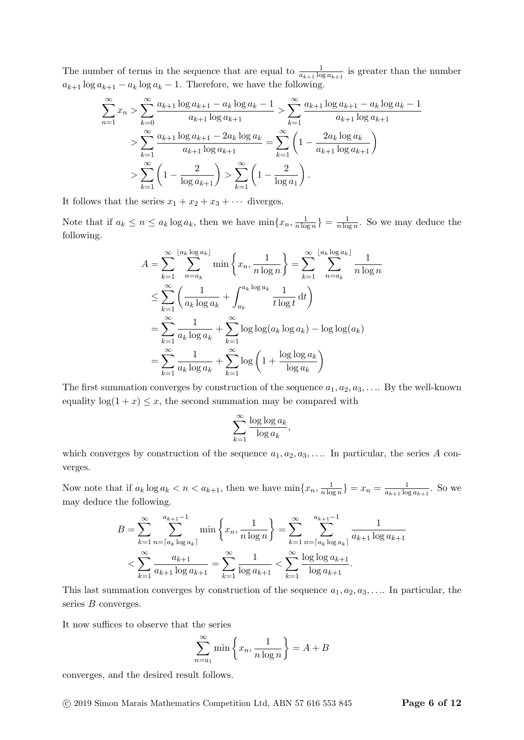The number of terms in the sequence that are equal to  $\frac{1}{a_{k+1} \log a_{k+1}}$  is greater than the number  $a_{k+1} \log a_{k+1} - a_k \log a_k - 1$ . Therefore, we have the following.

$$
\sum_{n=1}^{\infty} x_n > \sum_{k=0}^{\infty} \frac{a_{k+1} \log a_{k+1} - a_k \log a_k - 1}{a_{k+1} \log a_{k+1}} > \sum_{k=1}^{\infty} \frac{a_{k+1} \log a_{k+1} - a_k \log a_k - 1}{a_{k+1} \log a_{k+1}} \n> \sum_{k=1}^{\infty} \frac{a_{k+1} \log a_{k+1} - 2a_k \log a_k}{a_{k+1} \log a_{k+1}} = \sum_{k=1}^{\infty} \left( 1 - \frac{2a_k \log a_k}{a_{k+1} \log a_{k+1}} \right) \n> \sum_{k=1}^{\infty} \left( 1 - \frac{2}{\log a_{k+1}} \right) > \sum_{k=1}^{\infty} \left( 1 - \frac{2}{\log a_1} \right).
$$

It follows that the series  $x_1 + x_2 + x_3 + \cdots$  diverges.

Note that if  $a_k \leq n \leq a_k \log a_k$ , then we have  $\min\{x_n, \frac{1}{n \log a_k}\}$  $\frac{1}{n \log n}$ } =  $\frac{1}{n \log n}$  $\frac{1}{n \log n}$ . So we may deduce the following.

$$
A = \sum_{k=1}^{\infty} \sum_{n=a_k}^{\lfloor a_k \log a_k \rfloor} \min \left\{ x_n, \frac{1}{n \log n} \right\} = \sum_{k=1}^{\infty} \sum_{n=a_k}^{\lfloor a_k \log a_k \rfloor} \frac{1}{n \log n}
$$
  

$$
\leq \sum_{k=1}^{\infty} \left( \frac{1}{a_k \log a_k} + \int_{a_k}^{a_k \log a_k} \frac{1}{t \log t} dt \right)
$$
  

$$
= \sum_{k=1}^{\infty} \frac{1}{a_k \log a_k} + \sum_{k=1}^{\infty} \log \log(a_k \log a_k) - \log \log(a_k)
$$
  

$$
= \sum_{k=1}^{\infty} \frac{1}{a_k \log a_k} + \sum_{k=1}^{\infty} \log \left( 1 + \frac{\log \log a_k}{\log a_k} \right)
$$

The first summation converges by construction of the sequence  $a_1, a_2, a_3, \ldots$  By the well-known equality  $log(1 + x) \leq x$ , the second summation may be compared with

$$
\sum_{k=1}^{\infty} \frac{\log \log a_k}{\log a_k},
$$

which converges by construction of the sequence  $a_1, a_2, a_3, \ldots$  In particular, the series A converges.

Now note that if  $a_k \log a_k < n < a_{k+1}$ , then we have  $\min\{x_n, \frac{1}{n \log n}\}$  $\frac{1}{n \log n}$ } =  $x_n = \frac{1}{a_{k+1} \log n}$  $\frac{1}{a_{k+1} \log a_{k+1}}$ . So we may deduce the following.

$$
B = \sum_{k=1}^{\infty} \sum_{n=\lceil a_k \log a_k \rceil}^{a_{k+1}-1} \min\left\{x_n, \frac{1}{n \log n}\right\} = \sum_{k=1}^{\infty} \sum_{n=\lceil a_k \log a_k \rceil}^{a_{k+1}-1} \frac{1}{a_{k+1} \log a_{k+1}} < \sum_{k=1}^{\infty} \frac{a_{k+1}}{a_{k+1} \log a_{k+1}} = \sum_{k=1}^{\infty} \frac{1}{\log a_{k+1}} < \sum_{k=1}^{\infty} \frac{\log \log a_{k+1}}{\log a_{k+1}}.
$$

This last summation converges by construction of the sequence  $a_1, a_2, a_3, \ldots$  In particular, the series B converges.

It now suffices to observe that the series

$$
\sum_{n=a_1}^{\infty} \min \left\{ x_n, \frac{1}{n \log n} \right\} = A + B
$$

converges, and the desired result follows.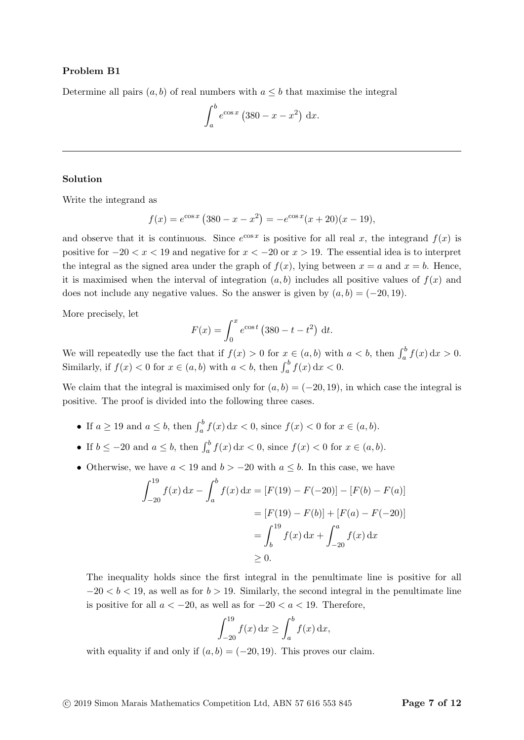Determine all pairs  $(a, b)$  of real numbers with  $a \leq b$  that maximise the integral

$$
\int_{a}^{b} e^{\cos x} \left( 380 - x - x^2 \right) \, \mathrm{d}x.
$$

#### Solution

Write the integrand as

$$
f(x) = e^{\cos x} (380 - x - x^2) = -e^{\cos x} (x + 20)(x - 19),
$$

and observe that it is continuous. Since  $e^{\cos x}$  is positive for all real x, the integrand  $f(x)$  is positive for  $-20 < x < 19$  and negative for  $x < -20$  or  $x > 19$ . The essential idea is to interpret the integral as the signed area under the graph of  $f(x)$ , lying between  $x = a$  and  $x = b$ . Hence, it is maximised when the interval of integration  $(a, b)$  includes all positive values of  $f(x)$  and does not include any negative values. So the answer is given by  $(a, b) = (-20, 19)$ .

More precisely, let

$$
F(x) = \int_0^x e^{\cos t} (380 - t - t^2) dt.
$$

We will repeatedly use the fact that if  $f(x) > 0$  for  $x \in (a, b)$  with  $a < b$ , then  $\int_a^b f(x) dx > 0$ . Similarly, if  $f(x) < 0$  for  $x \in (a, b)$  with  $a < b$ , then  $\int_a^b f(x) dx < 0$ .

We claim that the integral is maximised only for  $(a, b) = (-20, 19)$ , in which case the integral is positive. The proof is divided into the following three cases.

- If  $a \ge 19$  and  $a \le b$ , then  $\int_a^b f(x) dx < 0$ , since  $f(x) < 0$  for  $x \in (a, b)$ .
- If  $b \leq -20$  and  $a \leq b$ , then  $\int_a^b f(x) dx < 0$ , since  $f(x) < 0$  for  $x \in (a, b)$ .
- Otherwise, we have  $a < 19$  and  $b > -20$  with  $a \leq b$ . In this case, we have

$$
\int_{-20}^{19} f(x) dx - \int_{a}^{b} f(x) dx = [F(19) - F(-20)] - [F(b) - F(a)]
$$
  

$$
= [F(19) - F(b)] + [F(a) - F(-20)]
$$
  

$$
= \int_{b}^{19} f(x) dx + \int_{-20}^{a} f(x) dx
$$
  

$$
\geq 0.
$$

The inequality holds since the first integral in the penultimate line is positive for all  $-20 < b < 19$ , as well as for  $b > 19$ . Similarly, the second integral in the penultimate line is positive for all  $a < -20$ , as well as for  $-20 < a < 19$ . Therefore,

$$
\int_{-20}^{19} f(x) \, dx \ge \int_{a}^{b} f(x) \, dx,
$$

with equality if and only if  $(a, b) = (-20, 19)$ . This proves our claim.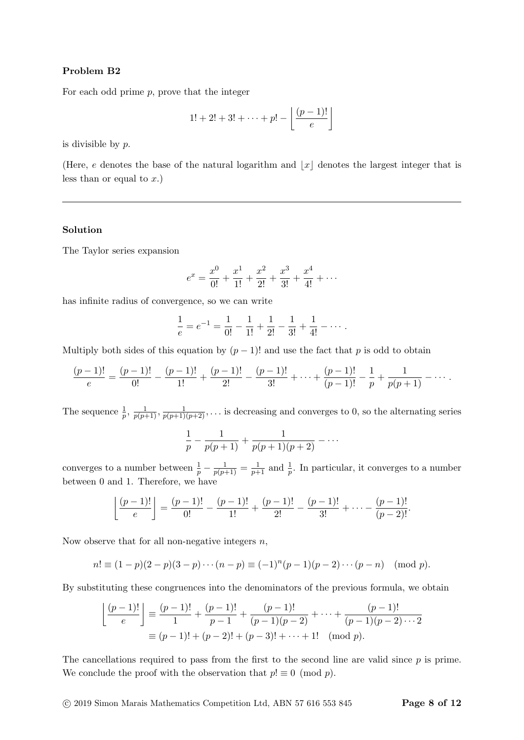For each odd prime  $p$ , prove that the integer

$$
1! + 2! + 3! + \cdots + p! - \left\lfloor \frac{(p-1)!}{e} \right\rfloor
$$

is divisible by  $p$ .

(Here, e denotes the base of the natural logarithm and  $|x|$  denotes the largest integer that is less than or equal to  $x$ .)

## Solution

The Taylor series expansion

$$
e^x = \frac{x^0}{0!} + \frac{x^1}{1!} + \frac{x^2}{2!} + \frac{x^3}{3!} + \frac{x^4}{4!} + \cdots
$$

has infinite radius of convergence, so we can write

$$
\frac{1}{e} = e^{-1} = \frac{1}{0!} - \frac{1}{1!} + \frac{1}{2!} - \frac{1}{3!} + \frac{1}{4!} - \dots
$$

Multiply both sides of this equation by  $(p-1)!$  and use the fact that p is odd to obtain

$$
\frac{(p-1)!}{e} = \frac{(p-1)!}{0!} - \frac{(p-1)!}{1!} + \frac{(p-1)!}{2!} - \frac{(p-1)!}{3!} + \dots + \frac{(p-1)!}{(p-1)!} - \frac{1}{p} + \frac{1}{p(p+1)} - \dots
$$

The sequence  $\frac{1}{p}$ ,  $\frac{1}{p(p+1)}$ ,  $\frac{1}{p(p+1)(p+2)}$ ,... is decreasing and converges to 0, so the alternating series

$$
\frac{1}{p} - \frac{1}{p(p+1)} + \frac{1}{p(p+1)(p+2)} - \cdots
$$

converges to a number between  $\frac{1}{p} - \frac{1}{p(p+1)} = \frac{1}{p+1}$  and  $\frac{1}{p}$ . In particular, it converges to a number between 0 and 1. Therefore, we have

$$
\left\lfloor \frac{(p-1)!}{e} \right\rfloor = \frac{(p-1)!}{0!} - \frac{(p-1)!}{1!} + \frac{(p-1)!}{2!} - \frac{(p-1)!}{3!} + \cdots - \frac{(p-1)!}{(p-2)!}.
$$

Now observe that for all non-negative integers  $n$ ,

$$
n! \equiv (1-p)(2-p)(3-p)\cdots(n-p) \equiv (-1)^n(p-1)(p-2)\cdots(p-n) \pmod{p}.
$$

By substituting these congruences into the denominators of the previous formula, we obtain

$$
\left\lfloor \frac{(p-1)!}{e} \right\rfloor \equiv \frac{(p-1)!}{1} + \frac{(p-1)!}{p-1} + \frac{(p-1)!}{(p-1)(p-2)} + \dots + \frac{(p-1)!}{(p-1)(p-2)\cdots 2}
$$

$$
\equiv (p-1)! + (p-2)! + (p-3)! + \dots + 1! \pmod{p}.
$$

The cancellations required to pass from the first to the second line are valid since  $p$  is prime. We conclude the proof with the observation that  $p! \equiv 0 \pmod{p}$ .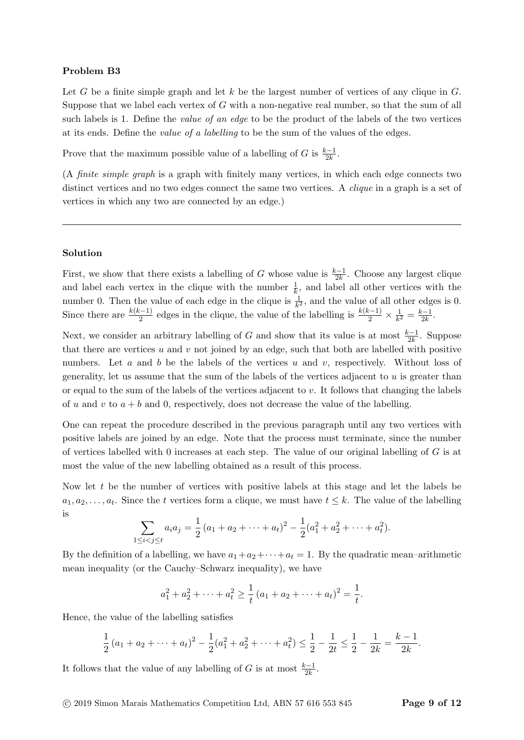Let G be a finite simple graph and let k be the largest number of vertices of any clique in  $G$ . Suppose that we label each vertex of G with a non-negative real number, so that the sum of all such labels is 1. Define the *value of an edge* to be the product of the labels of the two vertices at its ends. Define the value of a labelling to be the sum of the values of the edges.

Prove that the maximum possible value of a labelling of G is  $\frac{k-1}{2k}$ .

(A finite simple graph is a graph with finitely many vertices, in which each edge connects two distinct vertices and no two edges connect the same two vertices. A *clique* in a graph is a set of vertices in which any two are connected by an edge.)

#### Solution

First, we show that there exists a labelling of G whose value is  $\frac{k-1}{2k}$ . Choose any largest clique and label each vertex in the clique with the number  $\frac{1}{k}$ , and label all other vertices with the number 0. Then the value of each edge in the clique is  $\frac{1}{k^2}$ , and the value of all other edges is 0. Since there are  $\frac{k(k-1)}{2}$  edges in the clique, the value of the labelling is  $\frac{k(k-1)}{2} \times \frac{1}{k^2}$  $\frac{1}{k^2} = \frac{k-1}{2k}$  $\frac{x-1}{2k}$ .

Next, we consider an arbitrary labelling of G and show that its value is at most  $\frac{k-1}{2k}$ . Suppose that there are vertices u and v not joined by an edge, such that both are labelled with positive numbers. Let a and b be the labels of the vertices u and v, respectively. Without loss of generality, let us assume that the sum of the labels of the vertices adjacent to  $u$  is greater than or equal to the sum of the labels of the vertices adjacent to  $v$ . It follows that changing the labels of u and v to  $a + b$  and 0, respectively, does not decrease the value of the labelling.

One can repeat the procedure described in the previous paragraph until any two vertices with positive labels are joined by an edge. Note that the process must terminate, since the number of vertices labelled with 0 increases at each step. The value of our original labelling of  $G$  is at most the value of the new labelling obtained as a result of this process.

Now let  $t$  be the number of vertices with positive labels at this stage and let the labels be  $a_1, a_2, \ldots, a_t$ . Since the t vertices form a clique, we must have  $t \leq k$ . The value of the labelling is

$$
\sum_{1 \leq i < j \leq t} a_i a_j = \frac{1}{2} \left( a_1 + a_2 + \dots + a_t \right)^2 - \frac{1}{2} \left( a_1^2 + a_2^2 + \dots + a_t^2 \right).
$$

By the definition of a labelling, we have  $a_1+a_2+\cdots+a_t=1$ . By the quadratic mean–arithmetic mean inequality (or the Cauchy–Schwarz inequality), we have

$$
a_1^2 + a_2^2 + \dots + a_t^2 \ge \frac{1}{t} (a_1 + a_2 + \dots + a_t)^2 = \frac{1}{t}.
$$

Hence, the value of the labelling satisfies

$$
\frac{1}{2}(a_1 + a_2 + \dots + a_t)^2 - \frac{1}{2}(a_1^2 + a_2^2 + \dots + a_t^2) \le \frac{1}{2} - \frac{1}{2t} \le \frac{1}{2} - \frac{1}{2k} = \frac{k-1}{2k}.
$$

It follows that the value of any labelling of G is at most  $\frac{k-1}{2k}$ .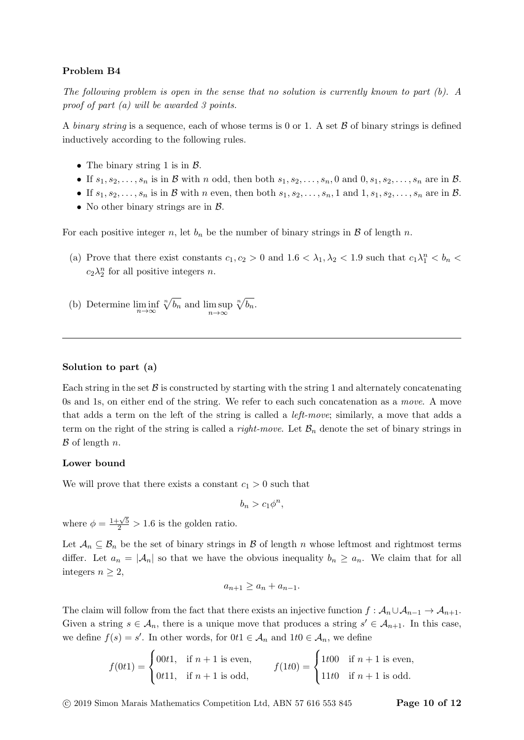The following problem is open in the sense that no solution is currently known to part (b). A proof of part (a) will be awarded 3 points.

A binary string is a sequence, each of whose terms is 0 or 1. A set  $\beta$  of binary strings is defined inductively according to the following rules.

- The binary string 1 is in  $\beta$ .
- If  $s_1, s_2, \ldots, s_n$  is in B with n odd, then both  $s_1, s_2, \ldots, s_n, 0$  and  $0, s_1, s_2, \ldots, s_n$  are in B.
- If  $s_1, s_2, \ldots, s_n$  is in  $\mathcal B$  with n even, then both  $s_1, s_2, \ldots, s_n, 1$  and  $1, s_1, s_2, \ldots, s_n$  are in  $\mathcal B$ .
- No other binary strings are in  $\beta$ .

For each positive integer n, let  $b_n$  be the number of binary strings in B of length n.

- (a) Prove that there exist constants  $c_1, c_2 > 0$  and  $1.6 < \lambda_1, \lambda_2 < 1.9$  such that  $c_1 \lambda_1^n < b_n <$  $c_2\lambda_2^n$  for all positive integers *n*.
- (b) Determine  $\liminf_{n\to\infty}$  $\sqrt[n]{b_n}$  and  $\limsup_{n\to\infty}$  $\sqrt[n]{b_n}.$

#### Solution to part (a)

Each string in the set  $\beta$  is constructed by starting with the string 1 and alternately concatenating 0s and 1s, on either end of the string. We refer to each such concatenation as a move. A move that adds a term on the left of the string is called a left-move; similarly, a move that adds a term on the right of the string is called a *right-move*. Let  $\mathcal{B}_n$  denote the set of binary strings in  $\beta$  of length n.

#### Lower bound

We will prove that there exists a constant  $c_1 > 0$  such that

$$
b_n > c_1 \phi^n,
$$

where  $\phi = \frac{1+\sqrt{5}}{2} > 1.6$  is the golden ratio.

Let  $\mathcal{A}_n \subseteq \mathcal{B}_n$  be the set of binary strings in  $\mathcal{B}$  of length n whose leftmost and rightmost terms differ. Let  $a_n = |\mathcal{A}_n|$  so that we have the obvious inequality  $b_n \ge a_n$ . We claim that for all integers  $n \geq 2$ ,

$$
a_{n+1} \ge a_n + a_{n-1}.
$$

The claim will follow from the fact that there exists an injective function  $f : \mathcal{A}_n \cup \mathcal{A}_{n-1} \to \mathcal{A}_{n+1}$ . Given a string  $s \in \mathcal{A}_n$ , there is a unique move that produces a string  $s' \in \mathcal{A}_{n+1}$ . In this case, we define  $f(s) = s'$ . In other words, for  $0t1 \in \mathcal{A}_n$  and  $1t0 \in \mathcal{A}_n$ , we define

> $f(0t1) =$  $\sqrt{ }$  $\mathbf{J}$  $\mathcal{L}$ 00t1, if  $n+1$  is even, 0t11, if  $n+1$  is odd,  $f(1t0) =$  $\sqrt{ }$ J  $\mathcal{L}$ 1t00 if  $n + 1$  is even, 11t0 if  $n+1$  is odd.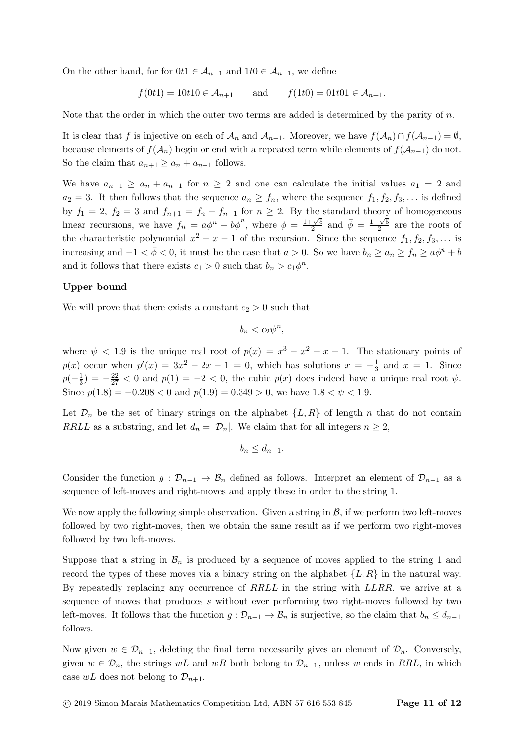On the other hand, for for  $0t1 \in \mathcal{A}_{n-1}$  and  $1t0 \in \mathcal{A}_{n-1}$ , we define

$$
f(0t1) = 10t10 \in \mathcal{A}_{n+1}
$$
 and  $f(1t0) = 01t01 \in \mathcal{A}_{n+1}$ .

Note that the order in which the outer two terms are added is determined by the parity of  $n$ .

It is clear that f is injective on each of  $\mathcal{A}_n$  and  $\mathcal{A}_{n-1}$ . Moreover, we have  $f(\mathcal{A}_n) \cap f(\mathcal{A}_{n-1}) = \emptyset$ , because elements of  $f(\mathcal{A}_n)$  begin or end with a repeated term while elements of  $f(\mathcal{A}_{n-1})$  do not. So the claim that  $a_{n+1} \ge a_n + a_{n-1}$  follows.

We have  $a_{n+1} \ge a_n + a_{n-1}$  for  $n \ge 2$  and one can calculate the initial values  $a_1 = 2$  and  $a_2 = 3$ . It then follows that the sequence  $a_n \ge f_n$ , where the sequence  $f_1, f_2, f_3, \ldots$  is defined by  $f_1 = 2$ ,  $f_2 = 3$  and  $f_{n+1} = f_n + f_{n-1}$  for  $n \ge 2$ . By the standard theory of homogeneous linear recursions, we have  $f_n = a\phi^n + b\overline{\phi}^n$ , where  $\phi = \frac{1+\sqrt{5}}{2}$  $\frac{-\sqrt{5}}{2}$  and  $\bar{\phi} = \frac{1-\sqrt{5}}{2}$  $\frac{1}{2}$  are the roots of the characteristic polynomial  $x^2 - x - 1$  of the recursion. Since the sequence  $f_1, f_2, f_3, \ldots$  is increasing and  $-1 < \bar{\phi} < 0$ , it must be the case that  $a > 0$ . So we have  $b_n \ge a_n \ge f_n \ge a\phi^n + b$ and it follows that there exists  $c_1 > 0$  such that  $b_n > c_1 \phi^n$ .

#### Upper bound

We will prove that there exists a constant  $c_2 > 0$  such that

$$
b_n < c_2 \psi^n,
$$

where  $\psi$  < 1.9 is the unique real root of  $p(x) = x^3 - x^2 - x - 1$ . The stationary points of  $p(x)$  occur when  $p'(x) = 3x^2 - 2x - 1 = 0$ , which has solutions  $x = -\frac{1}{3}$  $\frac{1}{3}$  and  $x = 1$ . Since  $p(-\frac{1}{3})$  $\frac{1}{3}$ ) =  $-\frac{22}{27}$  < 0 and  $p(1)$  =  $-2$  < 0, the cubic  $p(x)$  does indeed have a unique real root  $\psi$ . Since  $p(1.8) = -0.208 < 0$  and  $p(1.9) = 0.349 > 0$ , we have  $1.8 < \psi < 1.9$ .

Let  $\mathcal{D}_n$  be the set of binary strings on the alphabet  $\{L, R\}$  of length n that do not contain RRLL as a substring, and let  $d_n = |\mathcal{D}_n|$ . We claim that for all integers  $n \geq 2$ ,

$$
b_n \leq d_{n-1}.
$$

Consider the function  $g: \mathcal{D}_{n-1} \to \mathcal{B}_n$  defined as follows. Interpret an element of  $\mathcal{D}_{n-1}$  as a sequence of left-moves and right-moves and apply these in order to the string 1.

We now apply the following simple observation. Given a string in  $\mathcal{B}$ , if we perform two left-moves followed by two right-moves, then we obtain the same result as if we perform two right-moves followed by two left-moves.

Suppose that a string in  $\mathcal{B}_n$  is produced by a sequence of moves applied to the string 1 and record the types of these moves via a binary string on the alphabet  $\{L, R\}$  in the natural way. By repeatedly replacing any occurrence of RRLL in the string with LLRR, we arrive at a sequence of moves that produces s without ever performing two right-moves followed by two left-moves. It follows that the function  $g: \mathcal{D}_{n-1} \to \mathcal{B}_n$  is surjective, so the claim that  $b_n \leq d_{n-1}$ follows.

Now given  $w \in \mathcal{D}_{n+1}$ , deleting the final term necessarily gives an element of  $\mathcal{D}_n$ . Conversely, given  $w \in \mathcal{D}_n$ , the strings wL and wR both belong to  $\mathcal{D}_{n+1}$ , unless w ends in RRL, in which case  $wL$  does not belong to  $\mathcal{D}_{n+1}$ .